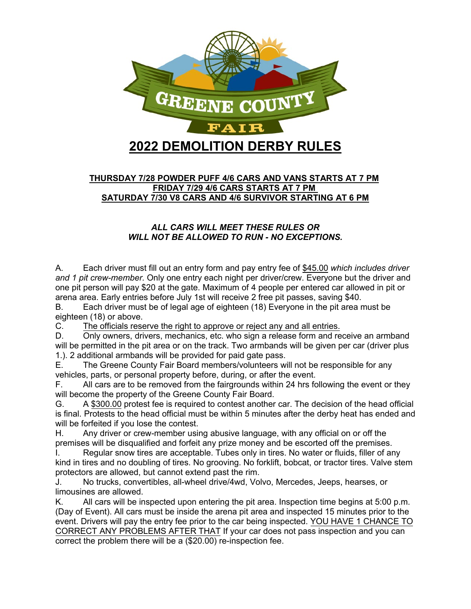

#### **THURSDAY 7/28 POWDER PUFF 4/6 CARS AND VANS STARTS AT 7 PM FRIDAY 7/29 4/6 CARS STARTS AT 7 PM SATURDAY 7/30 V8 CARS AND 4/6 SURVIVOR STARTING AT 6 PM**

#### *ALL CARS WILL MEET THESE RULES OR WILL NOT BE ALLOWED TO RUN - NO EXCEPTIONS.*

A. Each driver must fill out an entry form and pay entry fee of \$45.00 *which includes driver and 1 pit crew-member.* Only one entry each night per driver/crew. Everyone but the driver and one pit person will pay \$20 at the gate. Maximum of 4 people per entered car allowed in pit or arena area. Early entries before July 1st will receive 2 free pit passes, saving \$40.

B. Each driver must be of legal age of eighteen (18) Everyone in the pit area must be eighteen (18) or above.

C. The officials reserve the right to approve or reject any and all entries.

D. Only owners, drivers, mechanics, etc. who sign a release form and receive an armband will be permitted in the pit area or on the track. Two armbands will be given per car (driver plus 1.). 2 additional armbands will be provided for paid gate pass.

E. The Greene County Fair Board members/volunteers will not be responsible for any vehicles, parts, or personal property before, during, or after the event.

F. All cars are to be removed from the fairgrounds within 24 hrs following the event or they will become the property of the Greene County Fair Board.

G. A \$300.00 protest fee is required to contest another car. The decision of the head official is final. Protests to the head official must be within 5 minutes after the derby heat has ended and will be forfeited if you lose the contest.

H. Any driver or crew-member using abusive language, with any official on or off the premises will be disqualified and forfeit any prize money and be escorted off the premises.

I. Regular snow tires are acceptable. Tubes only in tires. No water or fluids, filler of any kind in tires and no doubling of tires. No grooving. No forklift, bobcat, or tractor tires. Valve stem protectors are allowed, but cannot extend past the rim.

J. No trucks, convertibles, all-wheel drive/4wd, Volvo, Mercedes, Jeeps, hearses, or limousines are allowed.

K. All cars will be inspected upon entering the pit area. Inspection time begins at 5:00 p.m. (Day of Event). All cars must be inside the arena pit area and inspected 15 minutes prior to the event. Drivers will pay the entry fee prior to the car being inspected. YOU HAVE 1 CHANCE TO CORRECT ANY PROBLEMS AFTER THAT If your car does not pass inspection and you can correct the problem there will be a (\$20.00) re-inspection fee.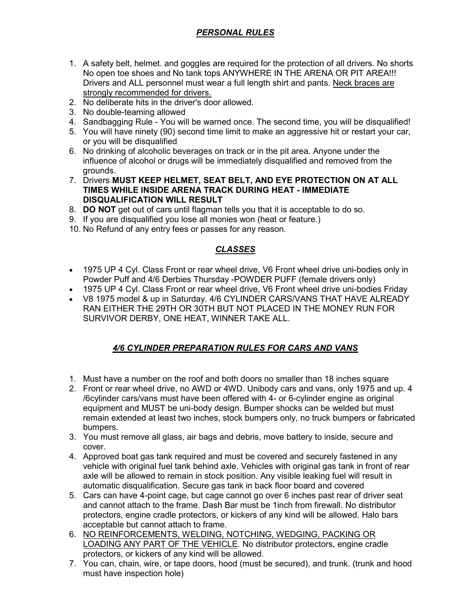# *PERSONAL RULES*

- 1. A safety belt, helmet. and goggles are required for the protection of all drivers. No shorts No open toe shoes and No tank tops ANYWHERE IN THE ARENA OR PIT AREA!!! Drivers and ALL personnel must wear a full length shirt and pants. Neck braces are strongly recommended for drivers.
- 2. No deliberate hits in the driver's door allowed.
- 3. No double-teaming allowed
- 4. Sandbagging Rule You will be warned once. The second time, you will be disqualified!
- 5. You will have ninety (90) second time limit to make an aggressive hit or restart your car, or you will be disqualified
- 6. No drinking of alcoholic beverages on track or in the pit area. Anyone under the influence of alcohol or drugs will be immediately disqualified and removed from the grounds.
- 7. Drivers **MUST KEEP HELMET, SEAT BELT, AND EYE PROTECTION ON AT ALL TIMES WHILE INSIDE ARENA TRACK DURING HEAT - IMMEDIATE DISQUALIFICATION WILL RESULT**
- 8. **DO NOT** get out of cars until flagman tells you that it is acceptable to do so.
- 9. If you are disqualified you lose all monies won (heat or feature.)
- 10. No Refund of any entry fees or passes for any reason.

# *CLASSES*

- 1975 UP 4 Cyl. Class Front or rear wheel drive, V6 Front wheel drive uni-bodies only in Powder Puff and 4/6 Derbies Thursday -POWDER PUFF (female drivers only)
- 1975 UP 4 Cyl. Class Front or rear wheel drive, V6 Front wheel drive uni-bodies Friday
- V8 1975 model & up in Saturday. 4/6 CYLINDER CARS/VANS THAT HAVE ALREADY RAN EITHER THE 29TH OR 30TH BUT NOT PLACED IN THE MONEY RUN FOR SURVIVOR DERBY, ONE HEAT, WINNER TAKE ALL.

# *4/6 CYLINDER PREPARATION RULES FOR CARS AND VANS*

- 1. Must have a number on the roof and both doors no smaller than 18 inches square
- 2. Front or rear wheel drive, no AWD or 4WD. Unibody cars and vans, only 1975 and up. 4 /6cylinder cars/vans must have been offered with 4- or 6-cylinder engine as original equipment and MUST be uni-body design. Bumper shocks can be welded but must remain extended at least two inches, stock bumpers only, no truck bumpers or fabricated bumpers.
- 3. You must remove all glass, air bags and debris, move battery to inside, secure and cover.
- 4. Approved boat gas tank required and must be covered and securely fastened in any vehicle with original fuel tank behind axle. Vehicles with original gas tank in front of rear axle will be allowed to remain in stock position. Any visible leaking fuel will result in automatic disqualification. Secure gas tank in back floor board and covered
- 5. Cars can have 4-point cage, but cage cannot go over 6 inches past rear of driver seat and cannot attach to the frame. Dash Bar must be 1inch from firewall. No distributor protectors, engine cradle protectors, or kickers of any kind will be allowed. Halo bars acceptable but cannot attach to frame.
- 6. NO REINFORCEMENTS, WELDING, NOTCHING, WEDGING, PACKING OR LOADING ANY PART OF THE VEHICLE. No distributor protectors, engine cradle protectors, or kickers of any kind will be allowed.
- 7. You can, chain, wire, or tape doors, hood (must be secured), and trunk. (trunk and hood must have inspection hole)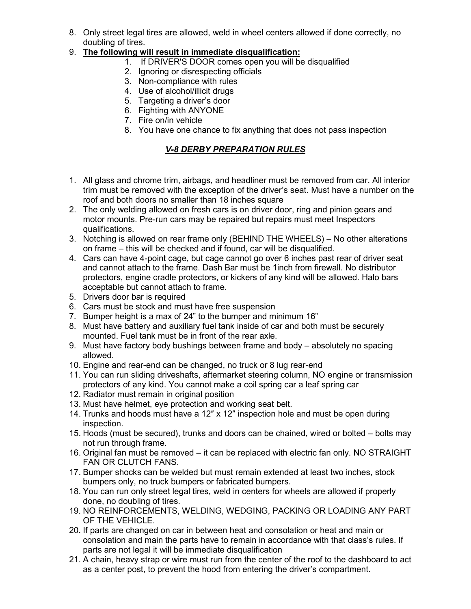8. Only street legal tires are allowed, weld in wheel centers allowed if done correctly, no doubling of tires.

### 9. **The following will result in immediate disqualification:**

- 1. If DRIVER'S DOOR comes open you will be disqualified
- 2. Ignoring or disrespecting officials
- 3. Non-compliance with rules
- 4. Use of alcohol/illicit drugs
- 5. Targeting a driver's door
- 6. Fighting with ANYONE
- 7. Fire on/in vehicle
- 8. You have one chance to fix anything that does not pass inspection

# *V-8 DERBY PREPARATION RULES*

- 1. All glass and chrome trim, airbags, and headliner must be removed from car. All interior trim must be removed with the exception of the driver's seat. Must have a number on the roof and both doors no smaller than 18 inches square
- 2. The only welding allowed on fresh cars is on driver door, ring and pinion gears and motor mounts. Pre-run cars may be repaired but repairs must meet Inspectors qualifications.
- 3. Notching is allowed on rear frame only (BEHIND THE WHEELS) No other alterations on frame – this will be checked and if found, car will be disqualified.
- 4. Cars can have 4-point cage, but cage cannot go over 6 inches past rear of driver seat and cannot attach to the frame. Dash Bar must be 1inch from firewall. No distributor protectors, engine cradle protectors, or kickers of any kind will be allowed. Halo bars acceptable but cannot attach to frame.
- 5. Drivers door bar is required
- 6. Cars must be stock and must have free suspension
- 7. Bumper height is a max of 24" to the bumper and minimum 16"
- 8. Must have battery and auxiliary fuel tank inside of car and both must be securely mounted. Fuel tank must be in front of the rear axle.
- 9. Must have factory body bushings between frame and body absolutely no spacing allowed.
- 10. Engine and rear-end can be changed, no truck or 8 lug rear-end
- 11. You can run sliding driveshafts, aftermarket steering column, NO engine or transmission protectors of any kind. You cannot make a coil spring car a leaf spring car
- 12. Radiator must remain in original position
- 13. Must have helmet, eye protection and working seat belt.
- 14. Trunks and hoods must have a 12″ x 12″ inspection hole and must be open during inspection.
- 15. Hoods (must be secured), trunks and doors can be chained, wired or bolted bolts may not run through frame.
- 16. Original fan must be removed it can be replaced with electric fan only. NO STRAIGHT FAN OR CLUTCH FANS.
- 17. Bumper shocks can be welded but must remain extended at least two inches, stock bumpers only, no truck bumpers or fabricated bumpers.
- 18. You can run only street legal tires, weld in centers for wheels are allowed if properly done, no doubling of tires.
- 19. NO REINFORCEMENTS, WELDING, WEDGING, PACKING OR LOADING ANY PART OF THE VEHICLE.
- 20. If parts are changed on car in between heat and consolation or heat and main or consolation and main the parts have to remain in accordance with that class's rules. If parts are not legal it will be immediate disqualification
- 21. A chain, heavy strap or wire must run from the center of the roof to the dashboard to act as a center post, to prevent the hood from entering the driver's compartment.